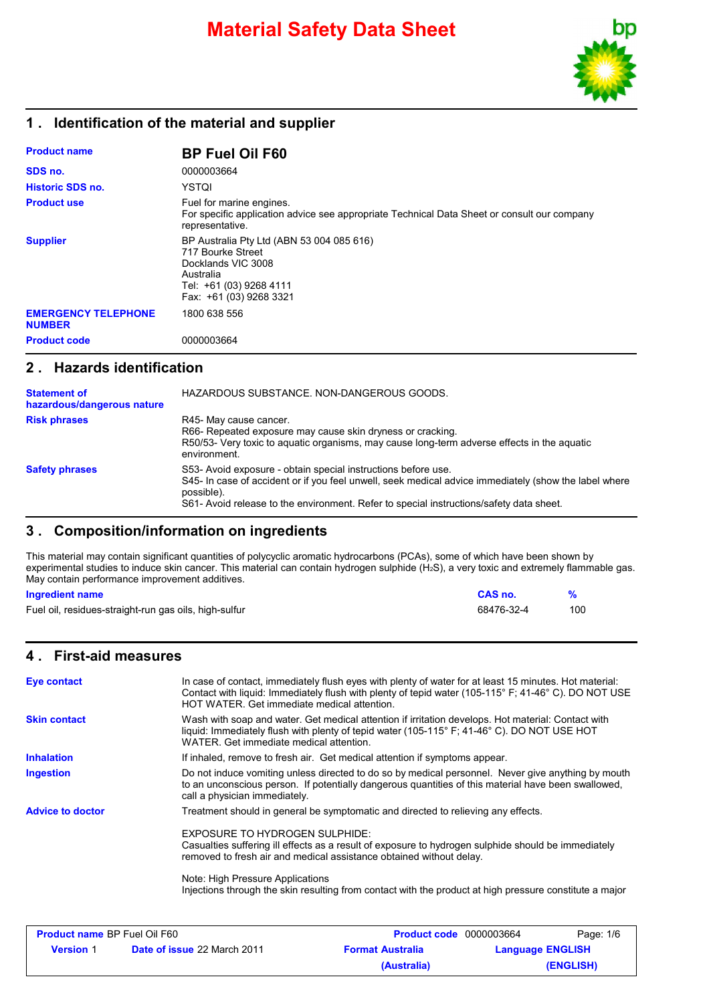

#### **1 . Identification of the material and supplier**

| <b>Product name</b>                         | <b>BP Fuel Oil F60</b>                                                                                                                                  |
|---------------------------------------------|---------------------------------------------------------------------------------------------------------------------------------------------------------|
| SDS no.                                     | 0000003664                                                                                                                                              |
| <b>Historic SDS no.</b>                     | YSTQI                                                                                                                                                   |
| <b>Product use</b>                          | Fuel for marine engines.<br>For specific application advice see appropriate Technical Data Sheet or consult our company<br>representative.              |
| <b>Supplier</b>                             | BP Australia Pty Ltd (ABN 53 004 085 616)<br>717 Bourke Street<br>Docklands VIC 3008<br>Australia<br>Tel: +61 (03) 9268 4111<br>Fax: +61 (03) 9268 3321 |
| <b>EMERGENCY TELEPHONE</b><br><b>NUMBER</b> | 1800 638 556                                                                                                                                            |
| <b>Product code</b>                         | 0000003664                                                                                                                                              |

#### **2 . Hazards identification**

| <b>Statement of</b><br>hazardous/dangerous nature | HAZARDOUS SUBSTANCE. NON-DANGEROUS GOODS.                                                                                                                                                                                                                                       |
|---------------------------------------------------|---------------------------------------------------------------------------------------------------------------------------------------------------------------------------------------------------------------------------------------------------------------------------------|
| <b>Risk phrases</b>                               | R45- May cause cancer.<br>R66- Repeated exposure may cause skin dryness or cracking.<br>R50/53- Very toxic to aquatic organisms, may cause long-term adverse effects in the aquatic<br>environment.                                                                             |
| <b>Safety phrases</b>                             | S53- Avoid exposure - obtain special instructions before use.<br>S45- In case of accident or if you feel unwell, seek medical advice immediately (show the label where<br>possible).<br>S61- Avoid release to the environment. Refer to special instructions/safety data sheet. |

# **3 . Composition/information on ingredients**

This material may contain significant quantities of polycyclic aromatic hydrocarbons (PCAs), some of which have been shown by experimental studies to induce skin cancer. This material can contain hydrogen sulphide (H2S), a very toxic and extremely flammable gas. May contain performance improvement additives.

#### **Ingredient name CAS no. %**

| Fuel oil, residues-straight-run gas oils, high-sulfur | 68476-32-4 | 10C |  |
|-------------------------------------------------------|------------|-----|--|
|-------------------------------------------------------|------------|-----|--|

#### **4 . First-aid measures**

| <b>Eye contact</b>                  | In case of contact, immediately flush eyes with plenty of water for at least 15 minutes. Hot material:<br>Contact with liquid: Immediately flush with plenty of tepid water (105-115° F; 41-46° C). DO NOT USE<br>HOT WATER. Get immediate medical attention. |
|-------------------------------------|---------------------------------------------------------------------------------------------------------------------------------------------------------------------------------------------------------------------------------------------------------------|
| <b>Skin contact</b>                 | Wash with soap and water. Get medical attention if irritation develops. Hot material: Contact with<br>liquid: Immediately flush with plenty of tepid water (105-115° F; 41-46° C). DO NOT USE HOT<br>WATER. Get immediate medical attention.                  |
| <b>Inhalation</b>                   | If inhaled, remove to fresh air. Get medical attention if symptoms appear.                                                                                                                                                                                    |
| Ingestion                           | Do not induce vomiting unless directed to do so by medical personnel. Never give anything by mouth<br>to an unconscious person. If potentially dangerous quantities of this material have been swallowed,<br>call a physician immediately.                    |
| <b>Advice to doctor</b>             | Treatment should in general be symptomatic and directed to relieving any effects.                                                                                                                                                                             |
|                                     | EXPOSURE TO HYDROGEN SULPHIDE:<br>Casualties suffering ill effects as a result of exposure to hydrogen sulphide should be immediately<br>removed to fresh air and medical assistance obtained without delay.                                                  |
|                                     | Note: High Pressure Applications<br>Injections through the skin resulting from contact with the product at high pressure constitute a major                                                                                                                   |
| <b>Product name BP Fuel Oil F60</b> | Page: 1/6<br><b>Product code</b> 0000003664                                                                                                                                                                                                                   |

| <b>Product name BP Fuel Oil F60</b> |                                    | <b>Product code</b> 0000003664 |                         | Page: 1/6 |  |
|-------------------------------------|------------------------------------|--------------------------------|-------------------------|-----------|--|
| <b>Version</b> 1                    | <b>Date of issue 22 March 2011</b> | <b>Format Australia</b>        | <b>Language ENGLISH</b> |           |  |
|                                     |                                    | (Australia)                    |                         | (ENGLISH) |  |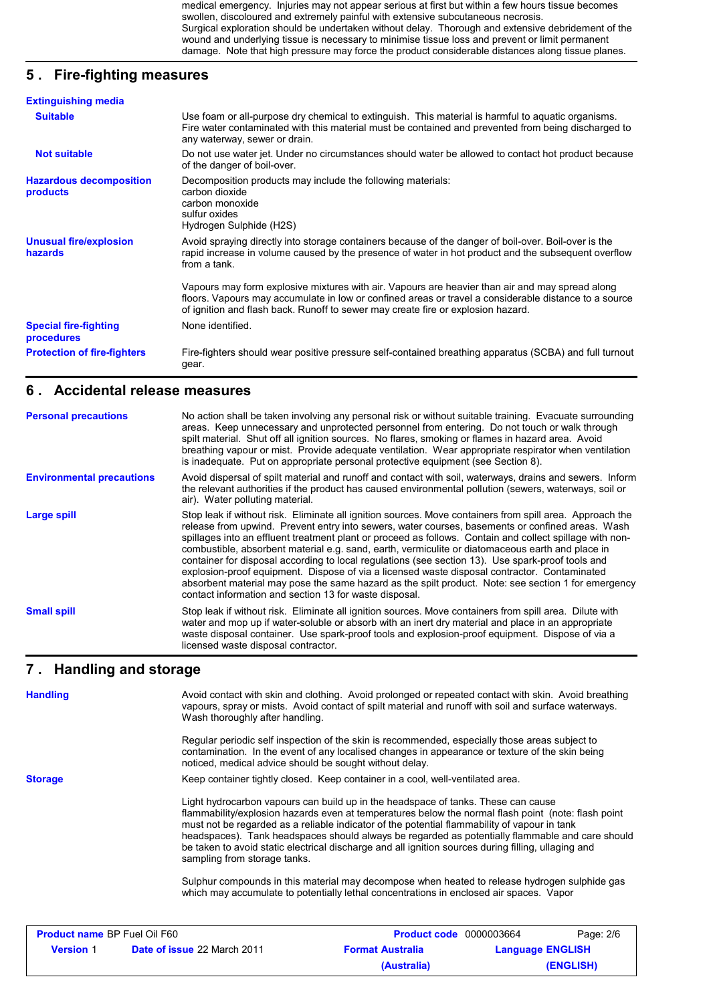medical emergency. Injuries may not appear serious at first but within a few hours tissue becomes swollen, discoloured and extremely painful with extensive subcutaneous necrosis. Surgical exploration should be undertaken without delay. Thorough and extensive debridement of the wound and underlying tissue is necessary to minimise tissue loss and prevent or limit permanent damage. Note that high pressure may force the product considerable distances along tissue planes.

# **5 . Fire-fighting measures**

| <b>Extinguishing media</b>                        |                                                                                                                                                                                                                                                                                              |
|---------------------------------------------------|----------------------------------------------------------------------------------------------------------------------------------------------------------------------------------------------------------------------------------------------------------------------------------------------|
| <b>Suitable</b>                                   | Use foam or all-purpose dry chemical to extinguish. This material is harmful to aquatic organisms.<br>Fire water contaminated with this material must be contained and prevented from being discharged to<br>any waterway, sewer or drain.                                                   |
| <b>Not suitable</b>                               | Do not use water jet. Under no circumstances should water be allowed to contact hot product because<br>of the danger of boil-over.                                                                                                                                                           |
| <b>Hazardous decomposition</b><br><b>products</b> | Decomposition products may include the following materials:<br>carbon dioxide<br>carbon monoxide<br>sulfur oxides<br>Hydrogen Sulphide (H2S)                                                                                                                                                 |
| <b>Unusual fire/explosion</b><br>hazards          | Avoid spraying directly into storage containers because of the danger of boil-over. Boil-over is the<br>rapid increase in volume caused by the presence of water in hot product and the subsequent overflow<br>from a tank.                                                                  |
|                                                   | Vapours may form explosive mixtures with air. Vapours are heavier than air and may spread along<br>floors. Vapours may accumulate in low or confined areas or travel a considerable distance to a source<br>of ignition and flash back. Runoff to sewer may create fire or explosion hazard. |
| <b>Special fire-fighting</b><br>procedures        | None identified.                                                                                                                                                                                                                                                                             |
| <b>Protection of fire-fighters</b>                | Fire-fighters should wear positive pressure self-contained breathing apparatus (SCBA) and full turnout<br>gear.                                                                                                                                                                              |

#### **6 . Accidental release measures**

| <b>Personal precautions</b>      | No action shall be taken involving any personal risk or without suitable training. Evacuate surrounding<br>areas. Keep unnecessary and unprotected personnel from entering. Do not touch or walk through<br>spilt material. Shut off all ignition sources. No flares, smoking or flames in hazard area. Avoid<br>breathing vapour or mist. Provide adequate ventilation. Wear appropriate respirator when ventilation<br>is inadequate. Put on appropriate personal protective equipment (see Section 8).                                                                                                                                                                                                                                                                                          |
|----------------------------------|----------------------------------------------------------------------------------------------------------------------------------------------------------------------------------------------------------------------------------------------------------------------------------------------------------------------------------------------------------------------------------------------------------------------------------------------------------------------------------------------------------------------------------------------------------------------------------------------------------------------------------------------------------------------------------------------------------------------------------------------------------------------------------------------------|
| <b>Environmental precautions</b> | Avoid dispersal of spilt material and runoff and contact with soil, waterways, drains and sewers. Inform<br>the relevant authorities if the product has caused environmental pollution (sewers, waterways, soil or<br>air). Water polluting material.                                                                                                                                                                                                                                                                                                                                                                                                                                                                                                                                              |
| Large spill                      | Stop leak if without risk. Eliminate all ignition sources. Move containers from spill area. Approach the<br>release from upwind. Prevent entry into sewers, water courses, basements or confined areas. Wash<br>spillages into an effluent treatment plant or proceed as follows. Contain and collect spillage with non-<br>combustible, absorbent material e.g. sand, earth, vermiculite or diatomaceous earth and place in<br>container for disposal according to local regulations (see section 13). Use spark-proof tools and<br>explosion-proof equipment. Dispose of via a licensed waste disposal contractor. Contaminated<br>absorbent material may pose the same hazard as the spilt product. Note: see section 1 for emergency<br>contact information and section 13 for waste disposal. |
| <b>Small spill</b>               | Stop leak if without risk. Eliminate all ignition sources. Move containers from spill area. Dilute with<br>water and mop up if water-soluble or absorb with an inert dry material and place in an appropriate<br>waste disposal container. Use spark-proof tools and explosion-proof equipment. Dispose of via a<br>licensed waste disposal contractor.                                                                                                                                                                                                                                                                                                                                                                                                                                            |

#### **Handling and storage 7 .**

| <b>Handling</b>                     | Wash thoroughly after handling.                         | Avoid contact with skin and clothing. Avoid prolonged or repeated contact with skin. Avoid breathing<br>vapours, spray or mists. Avoid contact of spilt material and runoff with soil and surface waterways.                                                                                                                                                                                                                                                                                       |                         |           |
|-------------------------------------|---------------------------------------------------------|----------------------------------------------------------------------------------------------------------------------------------------------------------------------------------------------------------------------------------------------------------------------------------------------------------------------------------------------------------------------------------------------------------------------------------------------------------------------------------------------------|-------------------------|-----------|
|                                     | noticed, medical advice should be sought without delay. | Regular periodic self inspection of the skin is recommended, especially those areas subject to<br>contamination. In the event of any localised changes in appearance or texture of the skin being                                                                                                                                                                                                                                                                                                  |                         |           |
| <b>Storage</b>                      |                                                         | Keep container tightly closed. Keep container in a cool, well-ventilated area.                                                                                                                                                                                                                                                                                                                                                                                                                     |                         |           |
|                                     | sampling from storage tanks.                            | Light hydrocarbon vapours can build up in the headspace of tanks. These can cause<br>flammability/explosion hazards even at temperatures below the normal flash point (note: flash point<br>must not be regarded as a reliable indicator of the potential flammability of vapour in tank<br>headspaces). Tank headspaces should always be regarded as potentially flammable and care should<br>be taken to avoid static electrical discharge and all ignition sources during filling, ullaging and |                         |           |
|                                     |                                                         | Sulphur compounds in this material may decompose when heated to release hydrogen sulphide gas<br>which may accumulate to potentially lethal concentrations in enclosed air spaces. Vapor                                                                                                                                                                                                                                                                                                           |                         |           |
| <b>Product name BP Fuel Oil F60</b> |                                                         | <b>Product code</b> 0000003664                                                                                                                                                                                                                                                                                                                                                                                                                                                                     |                         | Page: 2/6 |
|                                     |                                                         |                                                                                                                                                                                                                                                                                                                                                                                                                                                                                                    |                         |           |
| <b>Version</b> 1                    | <b>Date of issue 22 March 2011</b>                      | <b>Format Australia</b>                                                                                                                                                                                                                                                                                                                                                                                                                                                                            | <b>Language ENGLISH</b> |           |

**(Australia) (ENGLISH)**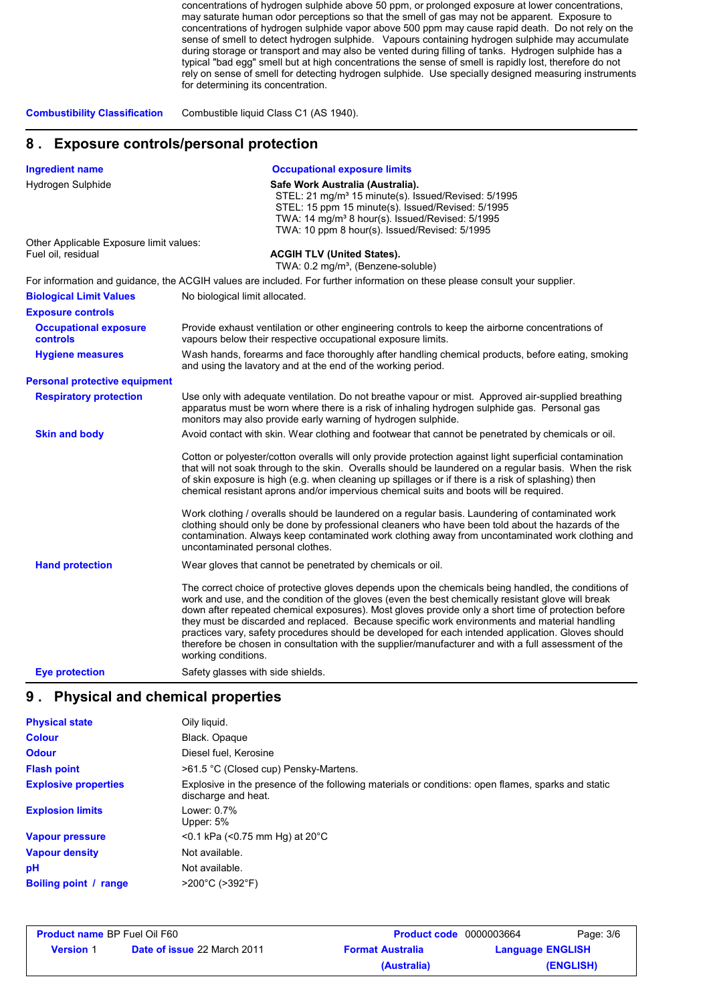concentrations of hydrogen sulphide above 50 ppm, or prolonged exposure at lower concentrations, may saturate human odor perceptions so that the smell of gas may not be apparent. Exposure to concentrations of hydrogen sulphide vapor above 500 ppm may cause rapid death. Do not rely on the sense of smell to detect hydrogen sulphide. Vapours containing hydrogen sulphide may accumulate during storage or transport and may also be vented during filling of tanks. Hydrogen sulphide has a typical "bad egg" smell but at high concentrations the sense of smell is rapidly lost, therefore do not rely on sense of smell for detecting hydrogen sulphide. Use specially designed measuring instruments for determining its concentration.

**Combustibility Classification** Combustible liquid Class C1 (AS 1940).

#### **8 . Exposure controls/personal protection**

| <b>Ingredient name</b>                                        | <b>Occupational exposure limits</b>                                                                                                                                                                                                                                                                                                                                                                                                                                                                                                                                                                                                                                                                                                                                 |  |  |
|---------------------------------------------------------------|---------------------------------------------------------------------------------------------------------------------------------------------------------------------------------------------------------------------------------------------------------------------------------------------------------------------------------------------------------------------------------------------------------------------------------------------------------------------------------------------------------------------------------------------------------------------------------------------------------------------------------------------------------------------------------------------------------------------------------------------------------------------|--|--|
| Hydrogen Sulphide                                             | Safe Work Australia (Australia).<br>STEL: 21 mg/m <sup>3</sup> 15 minute(s). Issued/Revised: 5/1995<br>STEL: 15 ppm 15 minute(s). Issued/Revised: 5/1995<br>TWA: 14 mg/m <sup>3</sup> 8 hour(s). Issued/Revised: 5/1995<br>TWA: 10 ppm 8 hour(s). Issued/Revised: 5/1995                                                                                                                                                                                                                                                                                                                                                                                                                                                                                            |  |  |
| Other Applicable Exposure limit values:<br>Fuel oil, residual | <b>ACGIH TLV (United States).</b>                                                                                                                                                                                                                                                                                                                                                                                                                                                                                                                                                                                                                                                                                                                                   |  |  |
|                                                               | TWA: 0.2 mg/m <sup>3</sup> , (Benzene-soluble)                                                                                                                                                                                                                                                                                                                                                                                                                                                                                                                                                                                                                                                                                                                      |  |  |
|                                                               | For information and guidance, the ACGIH values are included. For further information on these please consult your supplier.                                                                                                                                                                                                                                                                                                                                                                                                                                                                                                                                                                                                                                         |  |  |
| <b>Biological Limit Values</b>                                | No biological limit allocated.                                                                                                                                                                                                                                                                                                                                                                                                                                                                                                                                                                                                                                                                                                                                      |  |  |
| <b>Exposure controls</b>                                      |                                                                                                                                                                                                                                                                                                                                                                                                                                                                                                                                                                                                                                                                                                                                                                     |  |  |
| <b>Occupational exposure</b><br>controls                      | Provide exhaust ventilation or other engineering controls to keep the airborne concentrations of<br>vapours below their respective occupational exposure limits.                                                                                                                                                                                                                                                                                                                                                                                                                                                                                                                                                                                                    |  |  |
| <b>Hygiene measures</b>                                       | Wash hands, forearms and face thoroughly after handling chemical products, before eating, smoking<br>and using the lavatory and at the end of the working period.                                                                                                                                                                                                                                                                                                                                                                                                                                                                                                                                                                                                   |  |  |
| <b>Personal protective equipment</b>                          |                                                                                                                                                                                                                                                                                                                                                                                                                                                                                                                                                                                                                                                                                                                                                                     |  |  |
| <b>Respiratory protection</b>                                 | Use only with adequate ventilation. Do not breathe vapour or mist. Approved air-supplied breathing<br>apparatus must be worn where there is a risk of inhaling hydrogen sulphide gas. Personal gas<br>monitors may also provide early warning of hydrogen sulphide.                                                                                                                                                                                                                                                                                                                                                                                                                                                                                                 |  |  |
| <b>Skin and body</b>                                          | Avoid contact with skin. Wear clothing and footwear that cannot be penetrated by chemicals or oil.                                                                                                                                                                                                                                                                                                                                                                                                                                                                                                                                                                                                                                                                  |  |  |
|                                                               | Cotton or polyester/cotton overalls will only provide protection against light superficial contamination<br>that will not soak through to the skin. Overalls should be laundered on a regular basis. When the risk<br>of skin exposure is high (e.g. when cleaning up spillages or if there is a risk of splashing) then<br>chemical resistant aprons and/or impervious chemical suits and boots will be required.<br>Work clothing / overalls should be laundered on a regular basis. Laundering of contaminated work<br>clothing should only be done by professional cleaners who have been told about the hazards of the<br>contamination. Always keep contaminated work clothing away from uncontaminated work clothing and<br>uncontaminated personal clothes. |  |  |
| <b>Hand protection</b>                                        | Wear gloves that cannot be penetrated by chemicals or oil.                                                                                                                                                                                                                                                                                                                                                                                                                                                                                                                                                                                                                                                                                                          |  |  |
|                                                               | The correct choice of protective gloves depends upon the chemicals being handled, the conditions of<br>work and use, and the condition of the gloves (even the best chemically resistant glove will break<br>down after repeated chemical exposures). Most gloves provide only a short time of protection before<br>they must be discarded and replaced. Because specific work environments and material handling<br>practices vary, safety procedures should be developed for each intended application. Gloves should<br>therefore be chosen in consultation with the supplier/manufacturer and with a full assessment of the<br>working conditions.                                                                                                              |  |  |
| Eye protection                                                | Safety glasses with side shields.                                                                                                                                                                                                                                                                                                                                                                                                                                                                                                                                                                                                                                                                                                                                   |  |  |

#### **9 . Physical and chemical properties**

| <b>Physical state</b>       | Oily liquid.                                                                                                              |
|-----------------------------|---------------------------------------------------------------------------------------------------------------------------|
| <b>Colour</b>               | Black. Opaque                                                                                                             |
| <b>Odour</b>                | Diesel fuel. Kerosine                                                                                                     |
| <b>Flash point</b>          | >61.5 °C (Closed cup) Pensky-Martens.                                                                                     |
| <b>Explosive properties</b> | Explosive in the presence of the following materials or conditions: open flames, sparks and static<br>discharge and heat. |
| <b>Explosion limits</b>     | Lower: 0.7%<br>Upper: 5%                                                                                                  |
| <b>Vapour pressure</b>      | $<$ 0.1 kPa ( $<$ 0.75 mm Hg) at 20 $^{\circ}$ C                                                                          |
| <b>Vapour density</b>       | Not available.                                                                                                            |
| рH                          | Not available.                                                                                                            |
| Boiling point / range       | >200°C (>392°F)                                                                                                           |

| <b>Product name BP Fuel Oil F60</b> |                                    | <b>Product code</b> 0000003664 |                         | Page: 3/6 |
|-------------------------------------|------------------------------------|--------------------------------|-------------------------|-----------|
| <b>Version</b> 1                    | <b>Date of issue 22 March 2011</b> | <b>Format Australia</b>        | <b>Language ENGLISH</b> |           |
|                                     |                                    | (Australia)                    |                         | (ENGLISH) |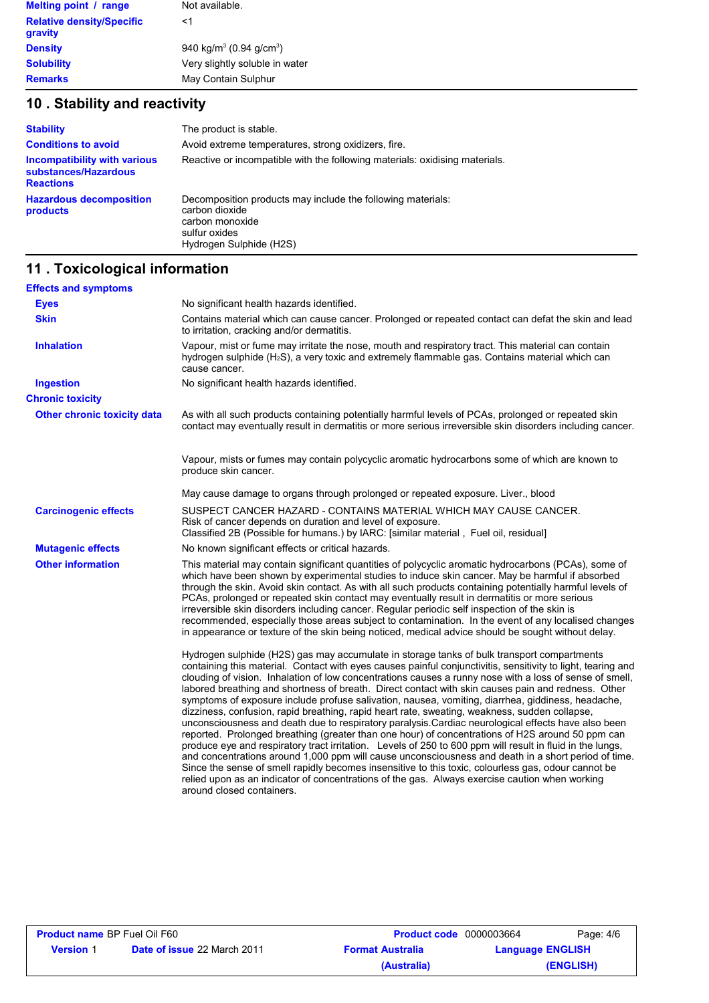| Melting point / range                       | Not available.                                  |
|---------------------------------------------|-------------------------------------------------|
| <b>Relative density/Specific</b><br>gravity | <1                                              |
| <b>Density</b>                              | 940 kg/m <sup>3</sup> (0.94 g/cm <sup>3</sup> ) |
| <b>Solubility</b>                           | Very slightly soluble in water                  |
| <b>Remarks</b>                              | May Contain Sulphur                             |

# **10 . Stability and reactivity**

| <b>Stability</b>                                                                | The product is stable.                                                                                                                       |
|---------------------------------------------------------------------------------|----------------------------------------------------------------------------------------------------------------------------------------------|
| <b>Conditions to avoid</b>                                                      | Avoid extreme temperatures, strong oxidizers, fire.                                                                                          |
| <b>Incompatibility with various</b><br>substances/Hazardous<br><b>Reactions</b> | Reactive or incompatible with the following materials: oxidising materials.                                                                  |
| <b>Hazardous decomposition</b><br>products                                      | Decomposition products may include the following materials:<br>carbon dioxide<br>carbon monoxide<br>sulfur oxides<br>Hydrogen Sulphide (H2S) |

## **11 . Toxicological information**

| <b>Effects and symptoms</b>        |                                                                                                                                                                                                                                                                                                                                                                                                                                                                                                                                                                                                                                                                                                                                                                                                                                                                                                                                                                                                                                                                                                                                                                                                                                                                                                       |
|------------------------------------|-------------------------------------------------------------------------------------------------------------------------------------------------------------------------------------------------------------------------------------------------------------------------------------------------------------------------------------------------------------------------------------------------------------------------------------------------------------------------------------------------------------------------------------------------------------------------------------------------------------------------------------------------------------------------------------------------------------------------------------------------------------------------------------------------------------------------------------------------------------------------------------------------------------------------------------------------------------------------------------------------------------------------------------------------------------------------------------------------------------------------------------------------------------------------------------------------------------------------------------------------------------------------------------------------------|
| <b>Eyes</b>                        | No significant health hazards identified.                                                                                                                                                                                                                                                                                                                                                                                                                                                                                                                                                                                                                                                                                                                                                                                                                                                                                                                                                                                                                                                                                                                                                                                                                                                             |
| <b>Skin</b>                        | Contains material which can cause cancer. Prolonged or repeated contact can defat the skin and lead<br>to irritation, cracking and/or dermatitis.                                                                                                                                                                                                                                                                                                                                                                                                                                                                                                                                                                                                                                                                                                                                                                                                                                                                                                                                                                                                                                                                                                                                                     |
| <b>Inhalation</b>                  | Vapour, mist or fume may irritate the nose, mouth and respiratory tract. This material can contain<br>hydrogen sulphide (H <sub>2</sub> S), a very toxic and extremely flammable gas. Contains material which can<br>cause cancer.                                                                                                                                                                                                                                                                                                                                                                                                                                                                                                                                                                                                                                                                                                                                                                                                                                                                                                                                                                                                                                                                    |
| <b>Ingestion</b>                   | No significant health hazards identified.                                                                                                                                                                                                                                                                                                                                                                                                                                                                                                                                                                                                                                                                                                                                                                                                                                                                                                                                                                                                                                                                                                                                                                                                                                                             |
| <b>Chronic toxicity</b>            |                                                                                                                                                                                                                                                                                                                                                                                                                                                                                                                                                                                                                                                                                                                                                                                                                                                                                                                                                                                                                                                                                                                                                                                                                                                                                                       |
| <b>Other chronic toxicity data</b> | As with all such products containing potentially harmful levels of PCAs, prolonged or repeated skin<br>contact may eventually result in dermatitis or more serious irreversible skin disorders including cancer.                                                                                                                                                                                                                                                                                                                                                                                                                                                                                                                                                                                                                                                                                                                                                                                                                                                                                                                                                                                                                                                                                      |
|                                    | Vapour, mists or fumes may contain polycyclic aromatic hydrocarbons some of which are known to<br>produce skin cancer.                                                                                                                                                                                                                                                                                                                                                                                                                                                                                                                                                                                                                                                                                                                                                                                                                                                                                                                                                                                                                                                                                                                                                                                |
|                                    | May cause damage to organs through prolonged or repeated exposure. Liver., blood                                                                                                                                                                                                                                                                                                                                                                                                                                                                                                                                                                                                                                                                                                                                                                                                                                                                                                                                                                                                                                                                                                                                                                                                                      |
| <b>Carcinogenic effects</b>        | SUSPECT CANCER HAZARD - CONTAINS MATERIAL WHICH MAY CAUSE CANCER.<br>Risk of cancer depends on duration and level of exposure.<br>Classified 2B (Possible for humans.) by IARC: [similar material, Fuel oil, residual]                                                                                                                                                                                                                                                                                                                                                                                                                                                                                                                                                                                                                                                                                                                                                                                                                                                                                                                                                                                                                                                                                |
| <b>Mutagenic effects</b>           | No known significant effects or critical hazards.                                                                                                                                                                                                                                                                                                                                                                                                                                                                                                                                                                                                                                                                                                                                                                                                                                                                                                                                                                                                                                                                                                                                                                                                                                                     |
| <b>Other information</b>           | This material may contain significant quantities of polycyclic aromatic hydrocarbons (PCAs), some of<br>which have been shown by experimental studies to induce skin cancer. May be harmful if absorbed<br>through the skin. Avoid skin contact. As with all such products containing potentially harmful levels of<br>PCAs, prolonged or repeated skin contact may eventually result in dermatitis or more serious<br>irreversible skin disorders including cancer. Regular periodic self inspection of the skin is<br>recommended, especially those areas subject to contamination. In the event of any localised changes<br>in appearance or texture of the skin being noticed, medical advice should be sought without delay.                                                                                                                                                                                                                                                                                                                                                                                                                                                                                                                                                                     |
|                                    | Hydrogen sulphide (H2S) gas may accumulate in storage tanks of bulk transport compartments<br>containing this material. Contact with eyes causes painful conjunctivitis, sensitivity to light, tearing and<br>clouding of vision. Inhalation of low concentrations causes a runny nose with a loss of sense of smell,<br>labored breathing and shortness of breath. Direct contact with skin causes pain and redness. Other<br>symptoms of exposure include profuse salivation, nausea, vomiting, diarrhea, giddiness, headache,<br>dizziness, confusion, rapid breathing, rapid heart rate, sweating, weakness, sudden collapse,<br>unconsciousness and death due to respiratory paralysis.Cardiac neurological effects have also been<br>reported. Prolonged breathing (greater than one hour) of concentrations of H2S around 50 ppm can<br>produce eye and respiratory tract irritation. Levels of 250 to 600 ppm will result in fluid in the lungs,<br>and concentrations around 1,000 ppm will cause unconsciousness and death in a short period of time.<br>Since the sense of smell rapidly becomes insensitive to this toxic, colourless gas, odour cannot be<br>relied upon as an indicator of concentrations of the gas. Always exercise caution when working<br>around closed containers. |

| <b>Product name BP Fuel Oil F60</b> |                                    | <b>Product code</b> 0000003664 | Page: 4/6               |           |
|-------------------------------------|------------------------------------|--------------------------------|-------------------------|-----------|
| <b>Version</b> 1                    | <b>Date of issue 22 March 2011</b> | <b>Format Australia</b>        | <b>Language ENGLISH</b> |           |
|                                     |                                    | (Australia)                    |                         | (ENGLISH) |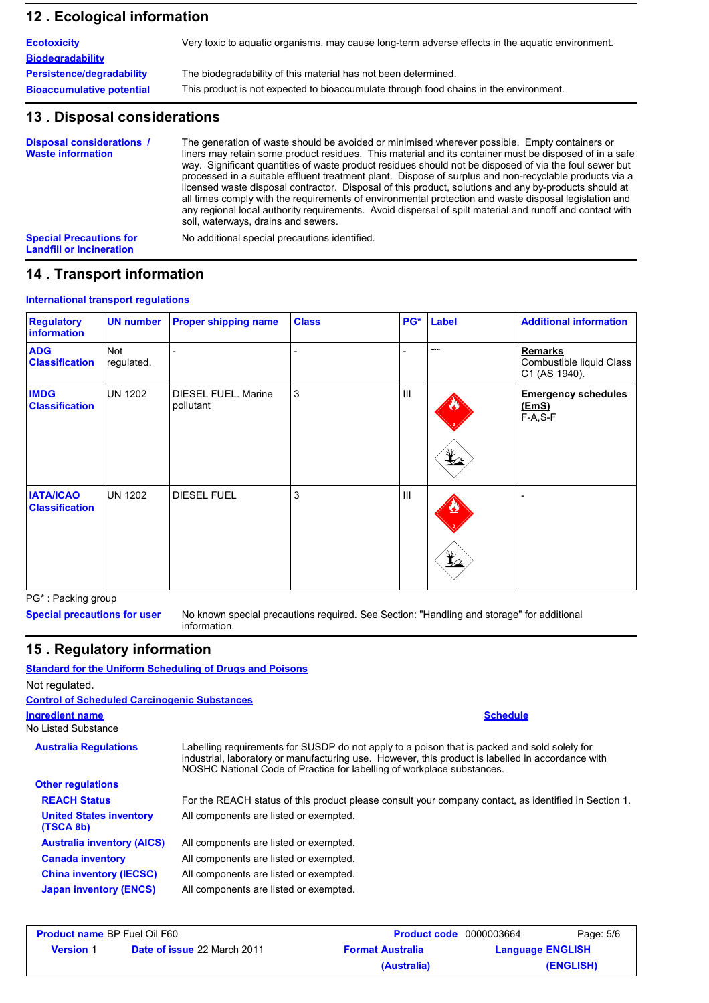#### **Ecological information 12 .**

| <b>Ecotoxicity</b>               | Very toxic to aquatic organisms, may cause long-term adverse effects in the aquatic environment. |
|----------------------------------|--------------------------------------------------------------------------------------------------|
| <b>Biodegradability</b>          |                                                                                                  |
| <b>Persistence/degradability</b> | The biodegradability of this material has not been determined.                                   |
| <b>Bioaccumulative potential</b> | This product is not expected to bioaccumulate through food chains in the environment.            |

#### **13 . Disposal considerations**

| Disposal considerations /<br><b>Waste information</b>             | The generation of waste should be avoided or minimised wherever possible. Empty containers or<br>liners may retain some product residues. This material and its container must be disposed of in a safe<br>way. Significant quantities of waste product residues should not be disposed of via the foul sewer but<br>processed in a suitable effluent treatment plant. Dispose of surplus and non-recyclable products via a<br>licensed waste disposal contractor. Disposal of this product, solutions and any by-products should at<br>all times comply with the requirements of environmental protection and waste disposal legislation and<br>any regional local authority requirements. Avoid dispersal of spilt material and runoff and contact with<br>soil, waterways, drains and sewers. |
|-------------------------------------------------------------------|--------------------------------------------------------------------------------------------------------------------------------------------------------------------------------------------------------------------------------------------------------------------------------------------------------------------------------------------------------------------------------------------------------------------------------------------------------------------------------------------------------------------------------------------------------------------------------------------------------------------------------------------------------------------------------------------------------------------------------------------------------------------------------------------------|
| <b>Special Precautions for</b><br><b>Landfill or Incineration</b> | No additional special precautions identified.                                                                                                                                                                                                                                                                                                                                                                                                                                                                                                                                                                                                                                                                                                                                                    |

## **14 . Transport information**

#### **International transport regulations**

| <b>Regulatory</b><br>information          | <b>UN number</b>  | <b>Proper shipping name</b>      | <b>Class</b> | PG*            | <b>Label</b> | <b>Additional information</b>                               |
|-------------------------------------------|-------------------|----------------------------------|--------------|----------------|--------------|-------------------------------------------------------------|
| <b>ADG</b><br><b>Classification</b>       | Not<br>regulated. |                                  |              |                | -----        | <b>Remarks</b><br>Combustible liquid Class<br>C1 (AS 1940). |
| <b>IMDG</b><br><b>Classification</b>      | <b>UN 1202</b>    | DIESEL FUEL. Marine<br>pollutant | $\mathbf{3}$ | $\mathbf{III}$ | $\bigstar$   | <b>Emergency schedules</b><br><u>(EmS)</u><br>$F-A, S-F$    |
| <b>IATA/ICAO</b><br><b>Classification</b> | <b>UN 1202</b>    | <b>DIESEL FUEL</b>               | 3            | $\mathbf{III}$ | $\bigstar$   |                                                             |

PG\* : Packing group

**Special precautions for user**

No known special precautions required. See Section: "Handling and storage" for additional information.

**Schedule**

# **15 . Regulatory information**

**Standard for the Uniform Scheduling of Drugs and Poisons** Not regulated. **Ingredient name Control of Scheduled Carcinogenic Substances**

No Listed Substance **Other regulations Australia Regulations** Labelling requirements for SUSDP do not apply to a poison that is packed and sold solely for industrial, laboratory or manufacturing use. However, this product is labelled in accordance with NOSHC National Code of Practice for labelling of workplace substances. All components are listed or exempted. All components are listed or exempted. All components are listed or exempted. All components are listed or exempted. All components are listed or exempted. **Australia inventory (AICS) Canada inventory China inventory (IECSC) Japan inventory (ENCS) United States inventory (TSCA 8b) REACH Status** For the REACH status of this product please consult your company contact, as identified in Section 1.

| <b>Product name BP Fuel Oil F60</b> |                                    | <b>Product code</b> 0000003664 | Page: 5/6               |
|-------------------------------------|------------------------------------|--------------------------------|-------------------------|
| <b>Version</b> 1                    | <b>Date of issue 22 March 2011</b> | <b>Format Australia</b>        | <b>Language ENGLISH</b> |
|                                     |                                    | (Australia)                    | (ENGLISH)               |